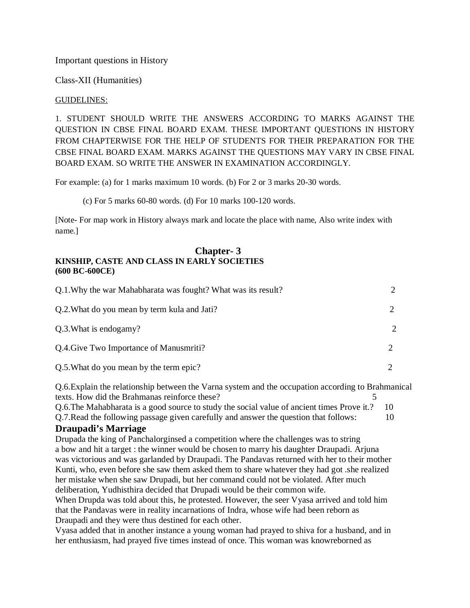Important questions in History

Class-XII (Humanities)

### GUIDELINES:

1. STUDENT SHOULD WRITE THE ANSWERS ACCORDING TO MARKS AGAINST THE QUESTION IN CBSE FINAL BOARD EXAM. THESE IMPORTANT QUESTIONS IN HISTORY FROM CHAPTERWISE FOR THE HELP OF STUDENTS FOR THEIR PREPARATION FOR THE CBSE FINAL BOARD EXAM. MARKS AGAINST THE QUESTIONS MAY VARY IN CBSE FINAL BOARD EXAM. SO WRITE THE ANSWER IN EXAMINATION ACCORDINGLY.

For example: (a) for 1 marks maximum 10 words. (b) For 2 or 3 marks 20-30 words.

(c) For 5 marks 60-80 words. (d) For 10 marks 100-120 words.

[Note- For map work in History always mark and locate the place with name, Also write index with name.]

#### **Chapter- 3 KINSHIP, CASTE AND CLASS IN EARLY SOCIETIES (600 BC-600CE)**

| Q.1. Why the war Mahabharata was fought? What was its result? |               |
|---------------------------------------------------------------|---------------|
| Q.2. What do you mean by term kula and Jati?                  |               |
| Q.3. What is endogamy?                                        | $\mathcal{L}$ |
| Q.4. Give Two Importance of Manusmriti?                       |               |
| Q.5. What do you mean by the term epic?                       |               |

Q.6.Explain the relationship between the Varna system and the occupation according to Brahmanical texts. How did the Brahmanas reinforce these? 5

Q.6.The Mahabharata is a good source to study the social value of ancient times Prove it.? 10 Q.7.Read the following passage given carefully and answer the question that follows: 10

## **Draupadi's Marriage**

Drupada the king of Panchalorginsed a competition where the challenges was to string a bow and hit a target : the winner would be chosen to marry his daughter Draupadi. Arjuna was victorious and was garlanded by Draupadi. The Pandavas returned with her to their mother Kunti, who, even before she saw them asked them to share whatever they had got .she realized her mistake when she saw Drupadi, but her command could not be violated. After much deliberation, Yudhisthira decided that Drupadi would be their common wife.

When Drupda was told about this, he protested. However, the seer Vyasa arrived and told him that the Pandavas were in reality incarnations of Indra, whose wife had been reborn as Draupadi and they were thus destined for each other.

Vyasa added that in another instance a young woman had prayed to shiva for a husband, and in her enthusiasm, had prayed five times instead of once. This woman was knowreborned as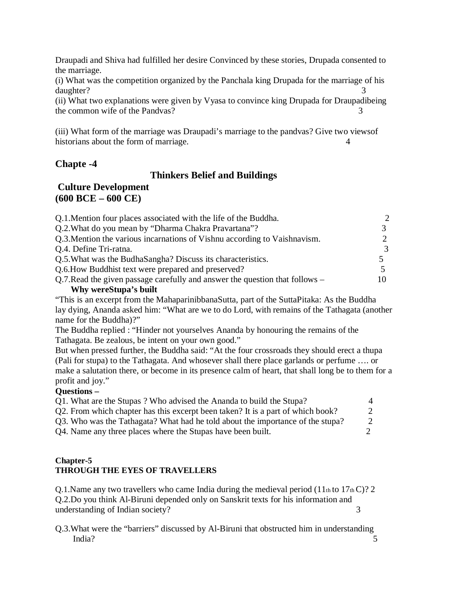Draupadi and Shiva had fulfilled her desire Convinced by these stories, Drupada consented to the marriage.

(i) What was the competition organized by the Panchala king Drupada for the marriage of his daughter? 3

(ii) What two explanations were given by Vyasa to convince king Drupada for Draupadibeing the common wife of the Pandvas? 3

(iii) What form of the marriage was Draupadi's marriage to the pandvas? Give two viewsof historians about the form of marriage. 4

## **Chapte -4**

## **Thinkers Belief and Buildings**

## **Culture Development (600 BCE – 600 CE)**

| Q.1. Mention four places associated with the life of the Buddha.             | $\mathcal{D}_{\mathcal{A}}$ |
|------------------------------------------------------------------------------|-----------------------------|
| Q.2. What do you mean by "Dharma Chakra Pravartana"?                         |                             |
| Q.3. Mention the various incarnations of Vishnu according to Vaishnavism.    | $2^{\circ}$                 |
| Q.4. Define Tri-ratna.                                                       | $\mathcal{R}$               |
| Q.5. What was the BudhaSangha? Discuss its characteristics.                  |                             |
| Q.6. How Buddhist text were prepared and preserved?                          |                             |
| Q.7. Read the given passage carefully and answer the question that follows – |                             |
| Why wereStupa's built                                                        |                             |

"This is an excerpt from the MahaparinibbanaSutta, part of the SuttaPitaka: As the Buddha lay dying, Ananda asked him: "What are we to do Lord, with remains of the Tathagata (another name for the Buddha)?"

The Buddha replied : "Hinder not yourselves Ananda by honouring the remains of the Tathagata. Be zealous, be intent on your own good."

But when pressed further, the Buddha said: "At the four crossroads they should erect a thupa (Pali for stupa) to the Tathagata. And whosever shall there place garlands or perfume …. or make a salutation there, or become in its presence calm of heart, that shall long be to them for a profit and joy."

## **Questions –**

| Q1. What are the Stupas? Who advised the Ananda to build the Stupa?             | $\Delta$ |
|---------------------------------------------------------------------------------|----------|
| Q2. From which chapter has this excerpt been taken? It is a part of which book? | 2        |
| Q3. Who was the Tathagata? What had he told about the importance of the stupa?  | 2        |
| Q4. Name any three places where the Stupas have been built.                     |          |

## **Chapter-5 THROUGH THE EYES OF TRAVELLERS**

Q.1. Name any two travellers who came India during the medieval period  $(11<sub>th</sub>$  to  $17<sub>th</sub>$ C)? 2 Q.2.Do you think Al-Biruni depended only on Sanskrit texts for his information and understanding of Indian society? 3

Q.3.What were the "barriers" discussed by Al-Biruni that obstructed him in understanding India? 5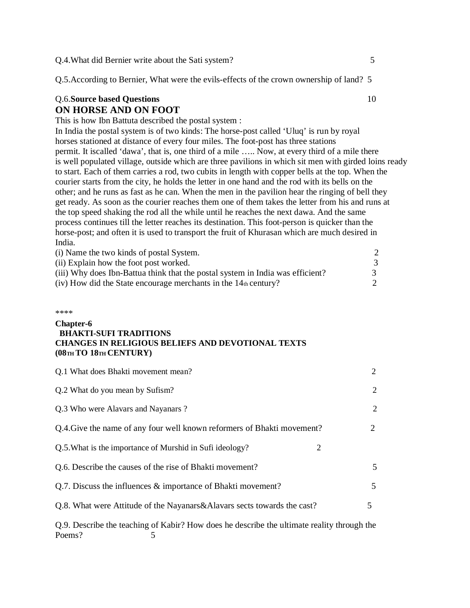Q.4.What did Bernier write about the Sati system? 5

Q.5.According to Bernier, What were the evils-effects of the crown ownership of land? 5

### Q.6.**Source based Questions** 10 **ON HORSE AND ON FOOT**

This is how Ibn Battuta described the postal system :

In India the postal system is of two kinds: The horse-post called 'Uluq' is run by royal horses stationed at distance of every four miles. The foot-post has three stations permit. It iscalled 'dawa', that is, one third of a mile ….. Now, at every third of a mile there is well populated village, outside which are three pavilions in which sit men with girded loins ready to start. Each of them carries a rod, two cubits in length with copper bells at the top. When the courier starts from the city, he holds the letter in one hand and the rod with its bells on the other; and he runs as fast as he can. When the men in the pavilion hear the ringing of bell they get ready. As soon as the courier reaches them one of them takes the letter from his and runs at the top speed shaking the rod all the while until he reaches the next dawa. And the same process continues till the letter reaches its destination. This foot-person is quicker than the horse-post; and often it is used to transport the fruit of Khurasan which are much desired in India.

| (i) Name the two kinds of postal System.                                       |  |
|--------------------------------------------------------------------------------|--|
| (ii) Explain how the foot post worked.                                         |  |
| (iii) Why does Ibn-Battua think that the postal system in India was efficient? |  |
| $(iv)$ How did the State encourage merchants in the 14th century?              |  |

#### \*\*\*\*

#### **Chapter-6 BHAKTI-SUFI TRADITIONS CHANGES IN RELIGIOUS BELIEFS AND DEVOTIONAL TEXTS (08TH TO 18TH CENTURY)**

| Q.1 What does Bhakti movement mean?                                     | 2              |
|-------------------------------------------------------------------------|----------------|
| Q.2 What do you mean by Sufism?                                         | $\overline{2}$ |
| Q.3 Who were Alavars and Nayanars?                                      | 2              |
| Q.4. Give the name of any four well known reformers of Bhakti movement? | 2              |
| Q.5. What is the importance of Murshid in Sufi ideology?<br>2           |                |
| Q.6. Describe the causes of the rise of Bhakti movement?                | 5              |
| Q.7. Discuss the influences & importance of Bhakti movement?            | 5              |
| Q.8. What were Attitude of the Nayanars&Alavars sects towards the cast? | 5.             |
|                                                                         |                |

Q.9. Describe the teaching of Kabir? How does he describe the ultimate reality through the Poems? 5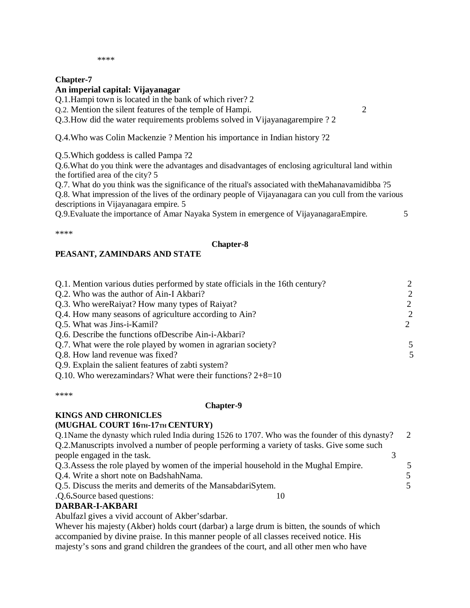#### \*\*\*\*

### **Chapter-7**

## **An imperial capital: Vijayanagar**

Q.1.Hampi town is located in the bank of which river? 2

Q.2. Mention the silent features of the temple of Hampi. 2

# Q.3.How did the water requirements problems solved in Vijayanagarempire ? 2

Q.4.Who was Colin Mackenzie ? Mention his importance in Indian history ?2

Q.5.Which goddess is called Pampa ?2

Q.6.What do you think were the advantages and disadvantages of enclosing agricultural land within the fortified area of the city? 5

Q.7. What do you think was the significance of the ritual's associated with theMahanavamidibba ?5 Q.8. What impression of the lives of the ordinary people of Vijayanagara can you cull from the various descriptions in Vijayanagara empire. 5

Q.9.Evaluate the importance of Amar Nayaka System in emergence of VijayanagaraEmpire. 5

\*\*\*\*

### **Chapter-8**

## **PEASANT, ZAMINDARS AND STATE**

| Q.1. Mention various duties performed by state officials in the 16th century? | $\mathcal{D}_{\mathcal{L}}$ |
|-------------------------------------------------------------------------------|-----------------------------|
| Q.2. Who was the author of Ain-I Akbari?                                      | $\overline{2}$              |
| Q.3. Who were Raiyat? How many types of Raiyat?                               | 2                           |
| Q.4. How many seasons of agriculture according to Ain?                        | $\overline{2}$              |
| Q.5. What was Jins-i-Kamil?                                                   |                             |
| Q.6. Describe the functions of Describe Ain-i-Akbari?                         |                             |
| Q.7. What were the role played by women in agrarian society?                  | 5                           |
| Q.8. How land revenue was fixed?                                              | 5                           |
| Q.9. Explain the salient features of zabti system?                            |                             |

Q.10. Who werezamindars? What were their functions? 2+8=10

\*\*\*\*

### **Chapter-9**

#### **KINGS AND CHRONICLES (MUGHAL COURT 16TH-17TH CENTURY)**

| Q.1Name the dynasty which ruled India during 1526 to 1707. Who was the founder of this dynasty? | 2  |
|-------------------------------------------------------------------------------------------------|----|
| Q.2. Manuscripts involved a number of people performing a variety of tasks. Give some such      |    |
| people engaged in the task.                                                                     |    |
| Q.3. Assess the role played by women of the imperial household in the Mughal Empire.            |    |
| Q.4. Write a short note on BadshahNama.                                                         | 5  |
| Q.5. Discuss the merits and demerits of the MansabdariSytem.                                    | 5. |
| .O.6.Source based questions:                                                                    |    |
| <b>DADDAD I AIZDADI</b>                                                                         |    |

## **DARBAR-I-AKBARI**

Abulfazl gives a vivid account of Akber'sdarbar.

Whever his majesty (Akber) holds court (darbar) a large drum is bitten, the sounds of which accompanied by divine praise. In this manner people of all classes received notice. His majesty's sons and grand children the grandees of the court, and all other men who have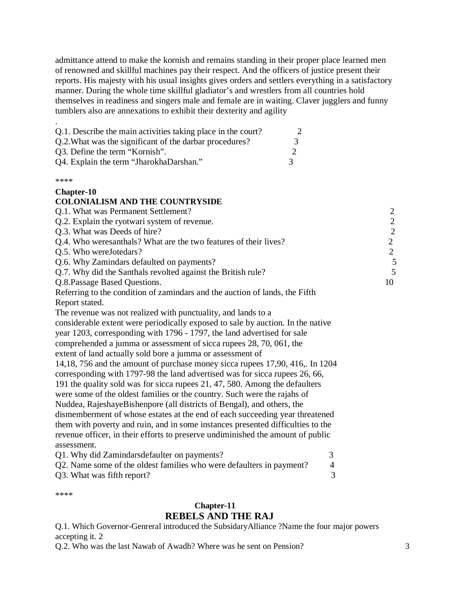admittance attend to make the kornish and remains standing in their proper place learned men of renowned and skillful machines pay their respect. And the officers of justice present their reports. His majesty with his usual insights gives orders and settlers everything in a satisfactory manner. During the whole time skillful gladiator's and wrestlers from all countries hold themselves in readiness and singers male and female are in waiting. Claver jugglers and funny tumblers also are annexations to exhibit their dexterity and agility

| Q.1. Describe the main activities taking place in the court? |   |
|--------------------------------------------------------------|---|
| Q.2. What was the significant of the darbar procedures?      | 3 |
| Q3. Define the term "Kornish".                               |   |
| Q4. Explain the term "JharokhaDarshan."                      | 3 |

\*\*\*\*

#### **Chapter-10**

#### **COLONIALISM AND THE COUNTRYSIDE**

| Q.1. What was Permanent Settlement?                                         | 2  |
|-----------------------------------------------------------------------------|----|
| Q.2. Explain the ryotwari system of revenue.                                | 2  |
| Q.3. What was Deeds of hire?                                                | 2  |
| Q.4. Who weresanthals? What are the two features of their lives?            | 2  |
| Q.5. Who wereJotedars?                                                      | 2  |
| Q.6. Why Zamindars defaulted on payments?                                   | 5  |
| Q.7. Why did the Santhals revolted against the British rule?                | 5  |
| Q.8. Passage Based Questions.                                               | 10 |
| Referring to the condition of zamindars and the auction of lands, the Fifth |    |
| Report stated.                                                              |    |
| The revenue was not realized with punctuality, and lands to a               |    |

considerable extent were periodically exposed to sale by auction. In the native year 1203, corresponding with 1796 - 1797, the land advertised for sale

comprehended a jumma or assessment of sicca rupees 28, 70, 061, the

extent of land actually sold bore a jumma or assessment of

14,18, 756 and the amount of purchase money sicca rupees 17,90, 416,. In 1204 corresponding with 1797-98 the land advertised was for sicca rupees 26, 66,

191 the quality sold was for sicca rupees 21, 47, 580. Among the defaulters

were some of the oldest families or the country. Such were the rajahs of

Nuddea, RajeshayeBishenpore (all districts of Bengal), and others, the dismemberment of whose estates at the end of each succeeding year threatened them with poverty and ruin, and in some instances presented difficulties to the revenue officer, in their efforts to preserve undiminished the amount of public assessment.

| Q1. Why did Zamindars defaulter on payments?                         |  |
|----------------------------------------------------------------------|--|
| Q2. Name some of the oldest families who were defaulters in payment? |  |
| Q3. What was fifth report?                                           |  |

\*\*\*\*

#### **Chapter-11 REBELS AND THE RAJ**

Q.1. Which Governor-Genreral introduced the SubsidaryAlliance ?Name the four major powers accepting it. 2

Q.2. Who was the last Nawab of Awadh? Where was he sent on Pension? 3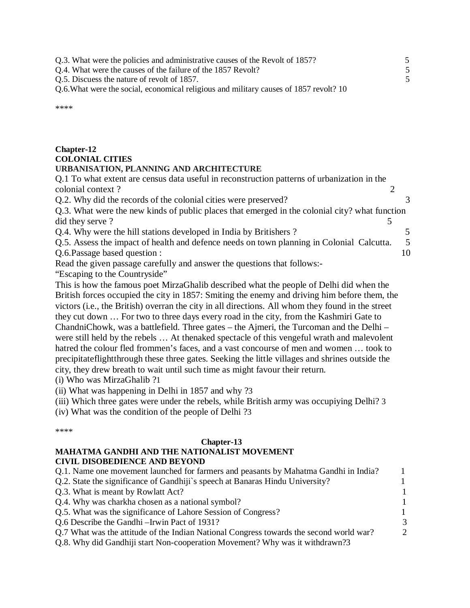Q.3. What were the policies and administrative causes of the Revolt of 1857? 5 Q.4. What were the causes of the failure of the 1857 Revolt? 5 Q.5. Discuess the nature of revolt of 1857. 5 Q.6.What were the social, economical religious and military causes of 1857 revolt? 10 \*\*\*\*

# **Chapter-12 COLONIAL CITIES**

### **URBANISATION, PLANNING AND ARCHITECTURE**

Q.1 To what extent are census data useful in reconstruction patterns of urbanization in the colonial context? 2

Q.2. Why did the records of the colonial cities were preserved? 3

Q.3. What were the new kinds of public places that emerged in the colonial city? what function did they serve?

Q.4. Why were the hill stations developed in India by Britishers ? 5

Q.5. Assess the impact of health and defence needs on town planning in Colonial Calcutta. 5 Q.6.Passage based question : 10

Read the given passage carefully and answer the questions that follows:- "Escaping to the Countryside"

This is how the famous poet MirzaGhalib described what the people of Delhi did when the British forces occupied the city in 1857: Smiting the enemy and driving him before them, the victors (i.e., the British) overran the city in all directions. All whom they found in the street they cut down … For two to three days every road in the city, from the Kashmiri Gate to ChandniChowk, was a battlefield. Three gates – the Ajmeri, the Turcoman and the Delhi – were still held by the rebels … At thenaked spectacle of this vengeful wrath and malevolent hatred the colour fled frommen's faces, and a vast concourse of men and women … took to precipitateflightthrough these three gates. Seeking the little villages and shrines outside the city, they drew breath to wait until such time as might favour their return.

(i) Who was MirzaGhalib ?1

(ii) What was happening in Delhi in 1857 and why ?3

(iii) Which three gates were under the rebels, while British army was occupiying Delhi? 3

(iv) What was the condition of the people of Delhi ?3

\*\*\*\*

## **Chapter-13**

### **MAHATMA GANDHI AND THE NATIONALIST MOVEMENT CIVIL DISOBEDIENCE AND BEYOND**

| Q.1. Name one movement launched for farmers and peasants by Mahatma Gandhi in India?    |               |
|-----------------------------------------------------------------------------------------|---------------|
| Q.2. State the significance of Gandhiji's speech at Banaras Hindu University?           |               |
| Q.3. What is meant by Rowlatt Act?                                                      |               |
| Q.4. Why was charkha chosen as a national symbol?                                       | -1            |
| Q.5. What was the significance of Lahore Session of Congress?                           | 1             |
| Q.6 Describe the Gandhi – Irwin Pact of 1931?                                           | 3             |
| Q.7 What was the attitude of the Indian National Congress towards the second world war? | $\mathcal{D}$ |
| Q.8. Why did Gandhiji start Non-cooperation Movement? Why was it withdrawn?3            |               |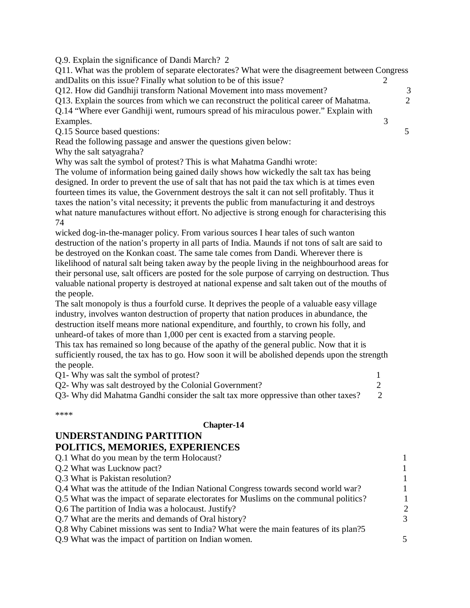Q.9. Explain the significance of Dandi March? 2

Q11. What was the problem of separate electorates? What were the disagreement between Congress andDalits on this issue? Finally what solution to be of this issue? 2 Q12. How did Gandhiji transform National Movement into mass movement? 3 Q13. Explain the sources from which we can reconstruct the political career of Mahatma. 2 Q.14 "Where ever Gandhiji went, rumours spread of his miraculous power." Explain with Examples. 3 Q.15 Source based questions: 5 Read the following passage and answer the questions given below:

Why the salt satyagraha?

Why was salt the symbol of protest? This is what Mahatma Gandhi wrote:

The volume of information being gained daily shows how wickedly the salt tax has being designed. In order to prevent the use of salt that has not paid the tax which is at times even fourteen times its value, the Government destroys the salt it can not sell profitably. Thus it taxes the nation's vital necessity; it prevents the public from manufacturing it and destroys what nature manufactures without effort. No adjective is strong enough for characterising this 74

wicked dog-in-the-manager policy. From various sources I hear tales of such wanton destruction of the nation's property in all parts of India. Maunds if not tons of salt are said to be destroyed on the Konkan coast. The same tale comes from Dandi. Wherever there is likelihood of natural salt being taken away by the people living in the neighbourhood areas for their personal use, salt officers are posted for the sole purpose of carrying on destruction. Thus valuable national property is destroyed at national expense and salt taken out of the mouths of the people.

The salt monopoly is thus a fourfold curse. It deprives the people of a valuable easy village industry, involves wanton destruction of property that nation produces in abundance, the destruction itself means more national expenditure, and fourthly, to crown his folly, and unheard-of takes of more than 1,000 per cent is exacted from a starving people.

This tax has remained so long because of the apathy of the general public. Now that it is sufficiently roused, the tax has to go. How soon it will be abolished depends upon the strength the people.

| Q1- Why was salt the symbol of protest?                                            |  |
|------------------------------------------------------------------------------------|--|
| Q2- Why was salt destroyed by the Colonial Government?                             |  |
| Q3- Why did Mahatma Gandhi consider the salt tax more oppressive than other taxes? |  |

\*\*\*\*

#### **Chapter-14**

# **UNDERSTANDING PARTITION**

## **POLITICS, MEMORIES, EXPERIENCES**

| Q.1 What do you mean by the term Holocaust?                                           |               |
|---------------------------------------------------------------------------------------|---------------|
| Q.2 What was Lucknow pact?                                                            | 1             |
| Q.3 What is Pakistan resolution?                                                      | 1             |
| Q.4 What was the attitude of the Indian National Congress towards second world war?   | $\mathbf{1}$  |
| Q.5 What was the impact of separate electorates for Muslims on the communal politics? |               |
| Q.6 The partition of India was a holocaust. Justify?                                  | $\mathcal{D}$ |
| Q.7 What are the merits and demands of Oral history?                                  | 3             |
| Q.8 Why Cabinet missions was sent to India? What were the main features of its plan?5 |               |
| Q.9 What was the impact of partition on Indian women.                                 | 5             |